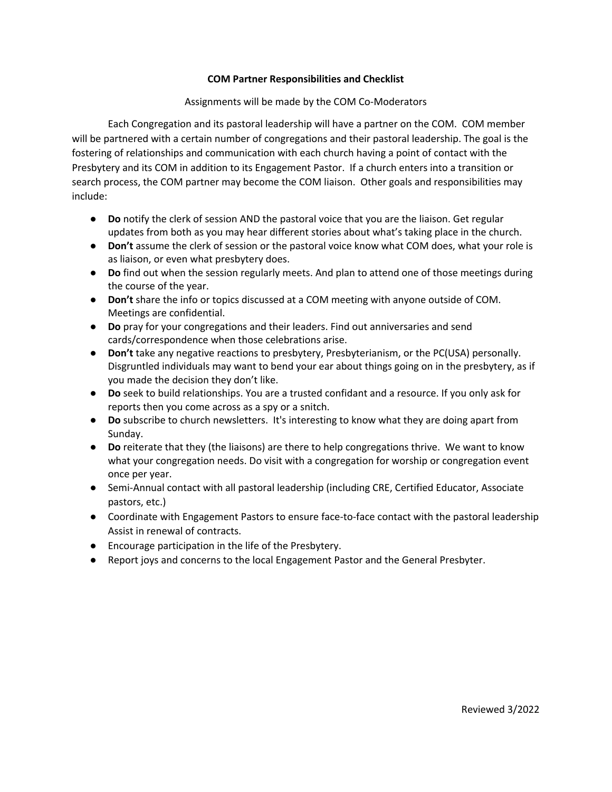## **COM Partner Responsibilities and Checklist**

## Assignments will be made by the COM Co-Moderators

Each Congregation and its pastoral leadership will have a partner on the COM. COM member will be partnered with a certain number of congregations and their pastoral leadership. The goal is the fostering of relationships and communication with each church having a point of contact with the Presbytery and its COM in addition to its Engagement Pastor. If a church enters into a transition or search process, the COM partner may become the COM liaison. Other goals and responsibilities may include:

- **Do** notify the clerk of session AND the pastoral voice that you are the liaison. Get regular updates from both as you may hear different stories about what's taking place in the church.
- **Don't** assume the clerk of session or the pastoral voice know what COM does, what your role is as liaison, or even what presbytery does.
- **Do** find out when the session regularly meets. And plan to attend one of those meetings during the course of the year.
- **Don't** share the info or topics discussed at a COM meeting with anyone outside of COM. Meetings are confidential.
- **Do** pray for your congregations and their leaders. Find out anniversaries and send cards/correspondence when those celebrations arise.
- **Don't** take any negative reactions to presbytery, Presbyterianism, or the PC(USA) personally. Disgruntled individuals may want to bend your ear about things going on in the presbytery, as if you made the decision they don't like.
- **Do** seek to build relationships. You are a trusted confidant and a resource. If you only ask for reports then you come across as a spy or a snitch.
- **Do** subscribe to church newsletters. It's interesting to know what they are doing apart from Sunday.
- **Do** reiterate that they (the liaisons) are there to help congregations thrive. We want to know what your congregation needs. Do visit with a congregation for worship or congregation event once per year.
- Semi-Annual contact with all pastoral leadership (including CRE, Certified Educator, Associate pastors, etc.)
- Coordinate with Engagement Pastors to ensure face-to-face contact with the pastoral leadership Assist in renewal of contracts.
- Encourage participation in the life of the Presbytery.
- Report joys and concerns to the local Engagement Pastor and the General Presbyter.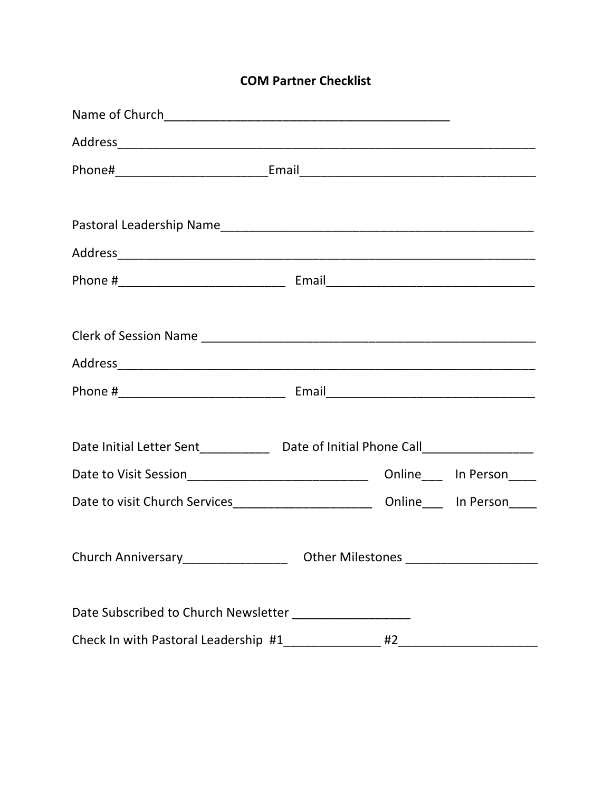|  |  | <b>COM Partner Checklist</b> |
|--|--|------------------------------|
|--|--|------------------------------|

| Date Initial Letter Sent______________ Date of Initial Phone Call_______________ |  |  |                            |
|----------------------------------------------------------------------------------|--|--|----------------------------|
| Date to Visit Session_________________________________                           |  |  | Online_____ In Person_____ |
| Date to visit Church Services_________________________                           |  |  | Online_____ In Person_____ |
|                                                                                  |  |  |                            |
| Church Anniversary__________________________Other Milestones ___________________ |  |  |                            |
|                                                                                  |  |  |                            |
| Date Subscribed to Church Newsletter _____________________                       |  |  |                            |
|                                                                                  |  |  |                            |